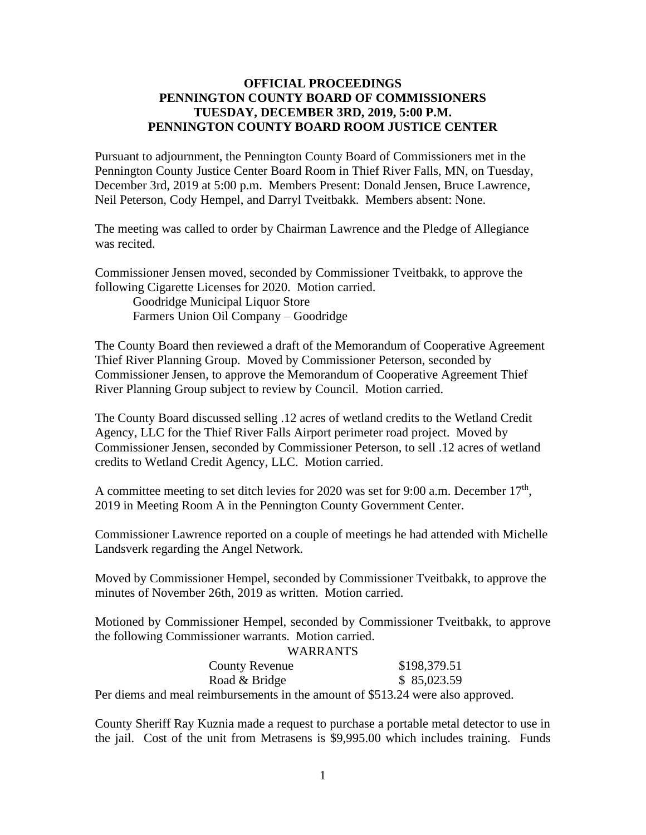## **OFFICIAL PROCEEDINGS PENNINGTON COUNTY BOARD OF COMMISSIONERS TUESDAY, DECEMBER 3RD, 2019, 5:00 P.M. PENNINGTON COUNTY BOARD ROOM JUSTICE CENTER**

Pursuant to adjournment, the Pennington County Board of Commissioners met in the Pennington County Justice Center Board Room in Thief River Falls, MN, on Tuesday, December 3rd, 2019 at 5:00 p.m. Members Present: Donald Jensen, Bruce Lawrence, Neil Peterson, Cody Hempel, and Darryl Tveitbakk. Members absent: None.

The meeting was called to order by Chairman Lawrence and the Pledge of Allegiance was recited.

Commissioner Jensen moved, seconded by Commissioner Tveitbakk, to approve the following Cigarette Licenses for 2020. Motion carried.

Goodridge Municipal Liquor Store Farmers Union Oil Company – Goodridge

The County Board then reviewed a draft of the Memorandum of Cooperative Agreement Thief River Planning Group. Moved by Commissioner Peterson, seconded by Commissioner Jensen, to approve the Memorandum of Cooperative Agreement Thief River Planning Group subject to review by Council. Motion carried.

The County Board discussed selling .12 acres of wetland credits to the Wetland Credit Agency, LLC for the Thief River Falls Airport perimeter road project. Moved by Commissioner Jensen, seconded by Commissioner Peterson, to sell .12 acres of wetland credits to Wetland Credit Agency, LLC. Motion carried.

A committee meeting to set ditch levies for 2020 was set for 9:00 a.m. December  $17<sup>th</sup>$ , 2019 in Meeting Room A in the Pennington County Government Center.

Commissioner Lawrence reported on a couple of meetings he had attended with Michelle Landsverk regarding the Angel Network.

Moved by Commissioner Hempel, seconded by Commissioner Tveitbakk, to approve the minutes of November 26th, 2019 as written. Motion carried.

Motioned by Commissioner Hempel, seconded by Commissioner Tveitbakk, to approve the following Commissioner warrants. Motion carried.

| <b>WARRANTS</b>                                                                |              |
|--------------------------------------------------------------------------------|--------------|
| <b>County Revenue</b>                                                          | \$198,379.51 |
| Road & Bridge                                                                  | \$85,023.59  |
| Dor diams and most rainbursomeants in the amount of $$512.24$ were also appro- |              |

Per diems and meal reimbursements in the amount of \$513.24 were also approved.

County Sheriff Ray Kuznia made a request to purchase a portable metal detector to use in the jail. Cost of the unit from Metrasens is \$9,995.00 which includes training. Funds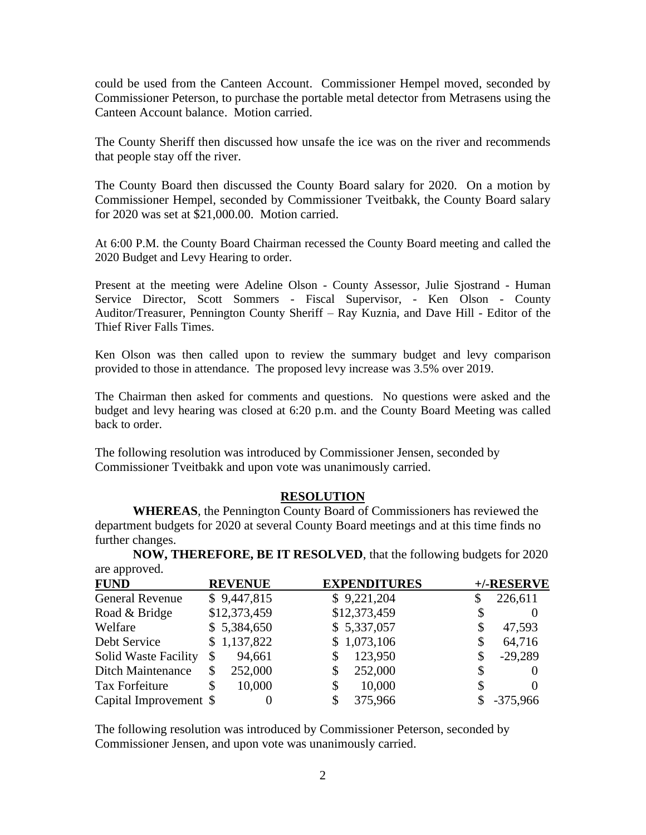could be used from the Canteen Account. Commissioner Hempel moved, seconded by Commissioner Peterson, to purchase the portable metal detector from Metrasens using the Canteen Account balance. Motion carried.

The County Sheriff then discussed how unsafe the ice was on the river and recommends that people stay off the river.

The County Board then discussed the County Board salary for 2020. On a motion by Commissioner Hempel, seconded by Commissioner Tveitbakk, the County Board salary for 2020 was set at \$21,000.00. Motion carried.

At 6:00 P.M. the County Board Chairman recessed the County Board meeting and called the 2020 Budget and Levy Hearing to order.

Present at the meeting were Adeline Olson - County Assessor, Julie Sjostrand - Human Service Director, Scott Sommers - Fiscal Supervisor, - Ken Olson - County Auditor/Treasurer, Pennington County Sheriff – Ray Kuznia, and Dave Hill - Editor of the Thief River Falls Times.

Ken Olson was then called upon to review the summary budget and levy comparison provided to those in attendance. The proposed levy increase was 3.5% over 2019.

The Chairman then asked for comments and questions. No questions were asked and the budget and levy hearing was closed at 6:20 p.m. and the County Board Meeting was called back to order.

The following resolution was introduced by Commissioner Jensen, seconded by Commissioner Tveitbakk and upon vote was unanimously carried.

## **RESOLUTION**

**WHEREAS**, the Pennington County Board of Commissioners has reviewed the department budgets for 2020 at several County Board meetings and at this time finds no further changes.

**NOW, THEREFORE, BE IT RESOLVED**, that the following budgets for 2020 are approved.

| <b>FUND</b>                 | <b>REVENUE</b> | <b>EXPENDITURES</b> | +/-RESERVE      |
|-----------------------------|----------------|---------------------|-----------------|
| <b>General Revenue</b>      | \$9,447,815    | \$9,221,204         | 226,611         |
| Road & Bridge               | \$12,373,459   | \$12,373,459        |                 |
| Welfare                     | \$5,384,650    | \$5,337,057         | \$<br>47,593    |
| Debt Service                | \$1,137,822    | \$1,073,106         | \$<br>64,716    |
| <b>Solid Waste Facility</b> | 94,661<br>\$   | 123,950             | \$<br>$-29,289$ |
| <b>Ditch Maintenance</b>    | 252,000        | 252,000             |                 |
| Tax Forfeiture              | 10,000<br>S    | 10,000<br>\$        | $\Omega$        |
| Capital Improvement \$      | $\theta$       | 375,966             | $-375,966$      |

The following resolution was introduced by Commissioner Peterson, seconded by Commissioner Jensen, and upon vote was unanimously carried.